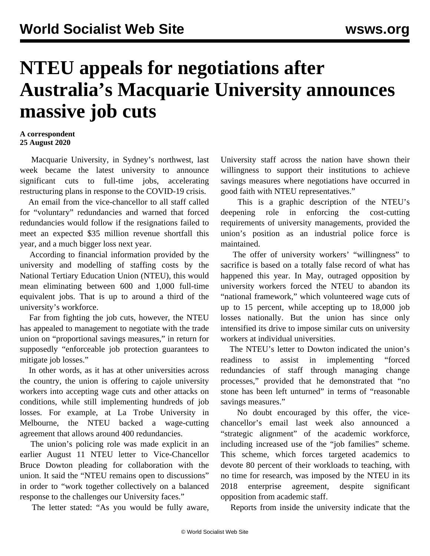## **NTEU appeals for negotiations after Australia's Macquarie University announces massive job cuts**

## **A correspondent 25 August 2020**

 Macquarie University, in Sydney's northwest, last week became the latest university to announce significant cuts to full-time jobs, accelerating restructuring plans in response to the COVID-19 crisis.

 An email from the vice-chancellor to all staff called for "voluntary" redundancies and warned that forced redundancies would follow if the resignations failed to meet an expected \$35 million revenue shortfall this year, and a much bigger loss next year.

 According to financial information provided by the university and modelling of staffing costs by the National Tertiary Education Union (NTEU), this would mean eliminating between 600 and 1,000 full-time equivalent jobs. That is up to around a third of the university's workforce.

 Far from fighting the job cuts, however, the NTEU has appealed to management to negotiate with the trade union on "proportional savings measures," in return for supposedly "enforceable job protection guarantees to mitigate job losses."

 In other words, as it has at other universities across the country, the union is offering to cajole university workers into accepting wage cuts and other attacks on conditions, while still implementing hundreds of job losses. For example, at La Trobe University in Melbourne, the NTEU backed a wage-cutting agreement that allows around 400 redundancies.

 The union's policing role was made explicit in an earlier August 11 NTEU letter to Vice-Chancellor Bruce Dowton pleading for collaboration with the union. It said the "NTEU remains open to discussions" in order to "work together collectively on a balanced response to the challenges our University faces."

The letter stated: "As you would be fully aware,

University staff across the nation have shown their willingness to support their institutions to achieve savings measures where negotiations have occurred in good faith with NTEU representatives."

 This is a graphic description of the NTEU's deepening role in enforcing the cost-cutting requirements of university managements, provided the union's position as an industrial police force is maintained.

 The offer of university workers' "willingness" to sacrifice is based on a totally false record of what has happened this year. In May, outraged opposition by university workers forced the NTEU to abandon its "national framework," which volunteered wage cuts of up to 15 percent, while accepting up to 18,000 job losses nationally. But the union has since only intensified its drive to impose similar cuts on university workers at individual universities.

 The NTEU's letter to Dowton indicated the union's readiness to assist in implementing "forced redundancies of staff through managing change processes," provided that he demonstrated that "no stone has been left unturned" in terms of "reasonable savings measures."

 No doubt encouraged by this offer, the vicechancellor's email last week also announced a "strategic alignment" of the academic workforce, including increased use of the "job families" scheme. This scheme, which forces targeted academics to devote 80 percent of their workloads to teaching, with no time for research, was imposed by the NTEU in its 2018 enterprise agreement, despite significant [opposition from academic staff.](/en/articles/2018/06/20/macq-j20.html)

Reports from inside the university indicate that the